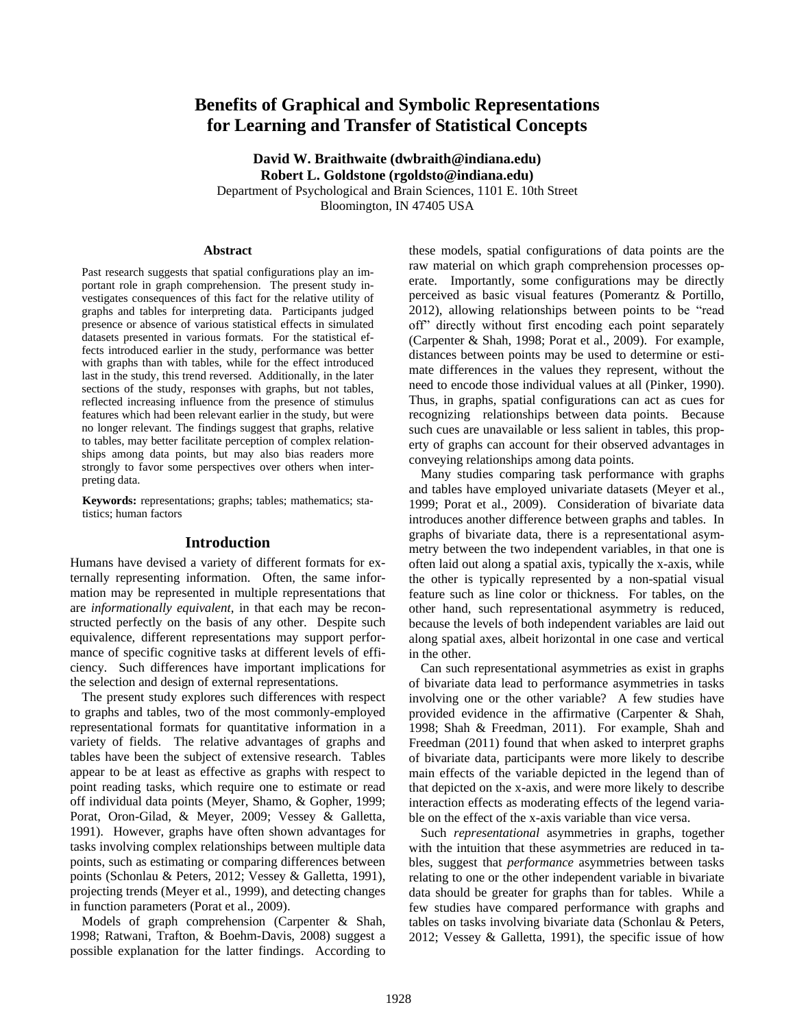# **Benefits of Graphical and Symbolic Representations for Learning and Transfer of Statistical Concepts**

**David W. Braithwaite (dwbraith@indiana.edu) Robert L. Goldstone (rgoldsto@indiana.edu)** Department of Psychological and Brain Sciences, 1101 E. 10th Street Bloomington, IN 47405 USA

#### **Abstract**

Past research suggests that spatial configurations play an important role in graph comprehension. The present study investigates consequences of this fact for the relative utility of graphs and tables for interpreting data. Participants judged presence or absence of various statistical effects in simulated datasets presented in various formats. For the statistical effects introduced earlier in the study, performance was better with graphs than with tables, while for the effect introduced last in the study, this trend reversed. Additionally, in the later sections of the study, responses with graphs, but not tables, reflected increasing influence from the presence of stimulus features which had been relevant earlier in the study, but were no longer relevant. The findings suggest that graphs, relative to tables, may better facilitate perception of complex relationships among data points, but may also bias readers more strongly to favor some perspectives over others when interpreting data.

**Keywords:** representations; graphs; tables; mathematics; statistics; human factors

#### **Introduction**

Humans have devised a variety of different formats for externally representing information. Often, the same information may be represented in multiple representations that are *informationally equivalent*, in that each may be reconstructed perfectly on the basis of any other. Despite such equivalence, different representations may support performance of specific cognitive tasks at different levels of efficiency. Such differences have important implications for the selection and design of external representations.

The present study explores such differences with respect to graphs and tables, two of the most commonly-employed representational formats for quantitative information in a variety of fields. The relative advantages of graphs and tables have been the subject of extensive research. Tables appear to be at least as effective as graphs with respect to point reading tasks, which require one to estimate or read off individual data points (Meyer, Shamo, & Gopher, 1999; Porat, Oron-Gilad, & Meyer, 2009; Vessey & Galletta, 1991). However, graphs have often shown advantages for tasks involving complex relationships between multiple data points, such as estimating or comparing differences between points (Schonlau & Peters, 2012; Vessey & Galletta, 1991), projecting trends (Meyer et al., 1999), and detecting changes in function parameters (Porat et al., 2009).

Models of graph comprehension (Carpenter & Shah, 1998; Ratwani, Trafton, & Boehm-Davis, 2008) suggest a possible explanation for the latter findings. According to these models, spatial configurations of data points are the raw material on which graph comprehension processes operate. Importantly, some configurations may be directly perceived as basic visual features (Pomerantz & Portillo, 2012), allowing relationships between points to be "read off" directly without first encoding each point separately (Carpenter & Shah, 1998; Porat et al., 2009). For example, distances between points may be used to determine or estimate differences in the values they represent, without the need to encode those individual values at all (Pinker, 1990). Thus, in graphs, spatial configurations can act as cues for recognizing relationships between data points. Because such cues are unavailable or less salient in tables, this property of graphs can account for their observed advantages in conveying relationships among data points.

Many studies comparing task performance with graphs and tables have employed univariate datasets (Meyer et al., 1999; Porat et al., 2009). Consideration of bivariate data introduces another difference between graphs and tables. In graphs of bivariate data, there is a representational asymmetry between the two independent variables, in that one is often laid out along a spatial axis, typically the x-axis, while the other is typically represented by a non-spatial visual feature such as line color or thickness. For tables, on the other hand, such representational asymmetry is reduced, because the levels of both independent variables are laid out along spatial axes, albeit horizontal in one case and vertical in the other.

Can such representational asymmetries as exist in graphs of bivariate data lead to performance asymmetries in tasks involving one or the other variable? A few studies have provided evidence in the affirmative (Carpenter & Shah, 1998; Shah & Freedman, 2011). For example, Shah and Freedman (2011) found that when asked to interpret graphs of bivariate data, participants were more likely to describe main effects of the variable depicted in the legend than of that depicted on the x-axis, and were more likely to describe interaction effects as moderating effects of the legend variable on the effect of the x-axis variable than vice versa.

Such *representational* asymmetries in graphs, together with the intuition that these asymmetries are reduced in tables, suggest that *performance* asymmetries between tasks relating to one or the other independent variable in bivariate data should be greater for graphs than for tables. While a few studies have compared performance with graphs and tables on tasks involving bivariate data (Schonlau & Peters, 2012; Vessey & Galletta, 1991), the specific issue of how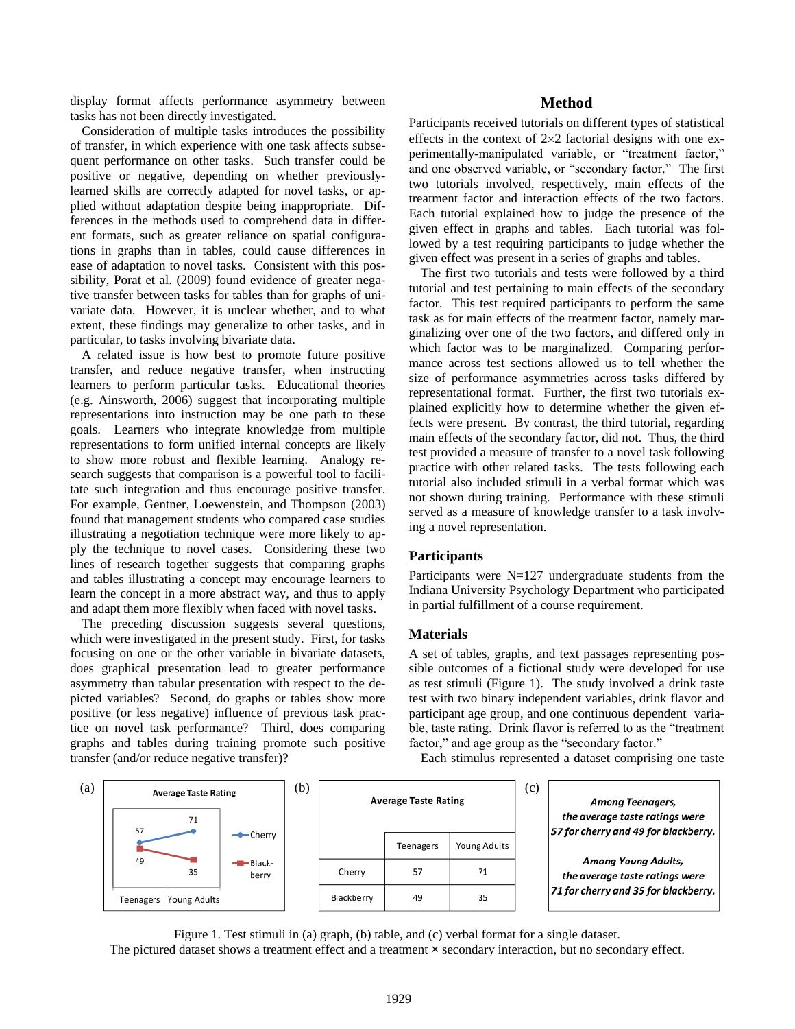display format affects performance asymmetry between tasks has not been directly investigated.

Consideration of multiple tasks introduces the possibility of transfer, in which experience with one task affects subsequent performance on other tasks. Such transfer could be positive or negative, depending on whether previouslylearned skills are correctly adapted for novel tasks, or applied without adaptation despite being inappropriate. Differences in the methods used to comprehend data in different formats, such as greater reliance on spatial configurations in graphs than in tables, could cause differences in ease of adaptation to novel tasks. Consistent with this possibility, Porat et al. (2009) found evidence of greater negative transfer between tasks for tables than for graphs of univariate data. However, it is unclear whether, and to what extent, these findings may generalize to other tasks, and in particular, to tasks involving bivariate data.

A related issue is how best to promote future positive transfer, and reduce negative transfer, when instructing learners to perform particular tasks. Educational theories (e.g. Ainsworth, 2006) suggest that incorporating multiple representations into instruction may be one path to these goals. Learners who integrate knowledge from multiple representations to form unified internal concepts are likely to show more robust and flexible learning. Analogy research suggests that comparison is a powerful tool to facilitate such integration and thus encourage positive transfer. For example, Gentner, Loewenstein, and Thompson (2003) found that management students who compared case studies illustrating a negotiation technique were more likely to apply the technique to novel cases. Considering these two lines of research together suggests that comparing graphs and tables illustrating a concept may encourage learners to learn the concept in a more abstract way, and thus to apply and adapt them more flexibly when faced with novel tasks.

The preceding discussion suggests several questions, which were investigated in the present study. First, for tasks focusing on one or the other variable in bivariate datasets, does graphical presentation lead to greater performance asymmetry than tabular presentation with respect to the depicted variables? Second, do graphs or tables show more positive (or less negative) influence of previous task practice on novel task performance? Third, does comparing graphs and tables during training promote such positive transfer (and/or reduce negative transfer)?

# **Method**

Participants received tutorials on different types of statistical effects in the context of  $2\times 2$  factorial designs with one experimentally-manipulated variable, or "treatment factor," and one observed variable, or "secondary factor." The first two tutorials involved, respectively, main effects of the treatment factor and interaction effects of the two factors. Each tutorial explained how to judge the presence of the given effect in graphs and tables. Each tutorial was followed by a test requiring participants to judge whether the given effect was present in a series of graphs and tables.

The first two tutorials and tests were followed by a third tutorial and test pertaining to main effects of the secondary factor. This test required participants to perform the same task as for main effects of the treatment factor, namely marginalizing over one of the two factors, and differed only in which factor was to be marginalized. Comparing performance across test sections allowed us to tell whether the size of performance asymmetries across tasks differed by representational format. Further, the first two tutorials explained explicitly how to determine whether the given effects were present. By contrast, the third tutorial, regarding main effects of the secondary factor, did not. Thus, the third test provided a measure of transfer to a novel task following practice with other related tasks. The tests following each tutorial also included stimuli in a verbal format which was not shown during training. Performance with these stimuli served as a measure of knowledge transfer to a task involving a novel representation.

# **Participants**

Participants were N=127 undergraduate students from the Indiana University Psychology Department who participated in partial fulfillment of a course requirement.

#### **Materials**

A set of tables, graphs, and text passages representing possible outcomes of a fictional study were developed for use as test stimuli (Figure 1). The study involved a drink taste test with two binary independent variables, drink flavor and participant age group, and one continuous dependent variable, taste rating. Drink flavor is referred to as the "treatment factor," and age group as the "secondary factor."

Each stimulus represented a dataset comprising one taste

| (a) | <b>Average Taste Rating</b><br>71<br>57 |                  | (b) |            | <b>Average Taste Rating</b> |              | (c) | <b>Among Teenagers,</b><br>the average taste ratings were<br>57 for cherry and 49 for blackberry. |
|-----|-----------------------------------------|------------------|-----|------------|-----------------------------|--------------|-----|---------------------------------------------------------------------------------------------------|
|     |                                         | <b>←</b> Cherry  |     |            | Teenagers                   | Young Adults |     |                                                                                                   |
|     | 49<br>35                                | -Black-<br>berry |     | Cherry     | 57                          | 71           |     | <b>Among Young Adults,</b><br>the average taste ratings were                                      |
|     | Young Adults<br>Teenagers               |                  |     | Blackberry | 49                          | 35           |     | 71 for cherry and 35 for blackberry.                                                              |

Figure 1. Test stimuli in (a) graph, (b) table, and (c) verbal format for a single dataset. The pictured dataset shows a treatment effect and a treatment  $\times$  secondary interaction, but no secondary effect.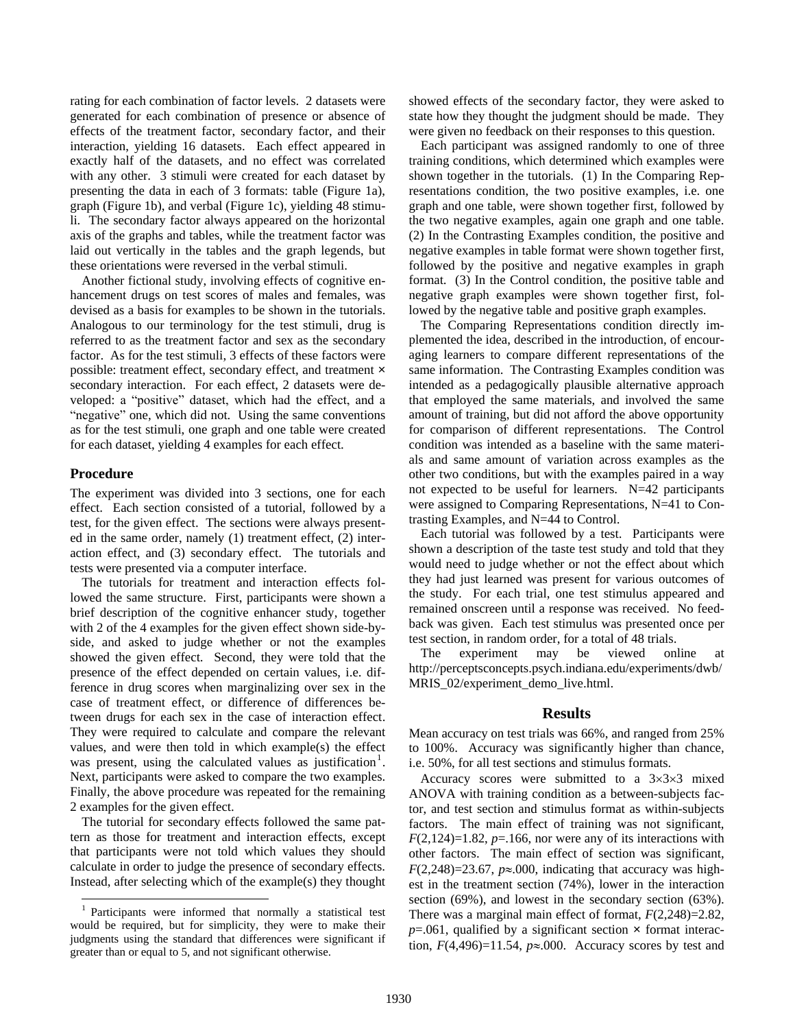rating for each combination of factor levels. 2 datasets were generated for each combination of presence or absence of effects of the treatment factor, secondary factor, and their interaction, yielding 16 datasets. Each effect appeared in exactly half of the datasets, and no effect was correlated with any other. 3 stimuli were created for each dataset by presenting the data in each of 3 formats: table (Figure 1a), graph (Figure 1b), and verbal (Figure 1c), yielding 48 stimuli. The secondary factor always appeared on the horizontal axis of the graphs and tables, while the treatment factor was laid out vertically in the tables and the graph legends, but these orientations were reversed in the verbal stimuli.

Another fictional study, involving effects of cognitive enhancement drugs on test scores of males and females, was devised as a basis for examples to be shown in the tutorials. Analogous to our terminology for the test stimuli, drug is referred to as the treatment factor and sex as the secondary factor. As for the test stimuli, 3 effects of these factors were possible: treatment effect, secondary effect, and treatment × secondary interaction. For each effect, 2 datasets were developed: a "positive" dataset, which had the effect, and a "negative" one, which did not. Using the same conventions as for the test stimuli, one graph and one table were created for each dataset, yielding 4 examples for each effect.

## **Procedure**

 $\overline{a}$ 

The experiment was divided into 3 sections, one for each effect. Each section consisted of a tutorial, followed by a test, for the given effect. The sections were always presented in the same order, namely (1) treatment effect, (2) interaction effect, and (3) secondary effect. The tutorials and tests were presented via a computer interface.

The tutorials for treatment and interaction effects followed the same structure. First, participants were shown a brief description of the cognitive enhancer study, together with 2 of the 4 examples for the given effect shown side-byside, and asked to judge whether or not the examples showed the given effect. Second, they were told that the presence of the effect depended on certain values, i.e. difference in drug scores when marginalizing over sex in the case of treatment effect, or difference of differences between drugs for each sex in the case of interaction effect. They were required to calculate and compare the relevant values, and were then told in which example(s) the effect was present, using the calculated values as justification<sup>1</sup>. Next, participants were asked to compare the two examples. Finally, the above procedure was repeated for the remaining 2 examples for the given effect.

The tutorial for secondary effects followed the same pattern as those for treatment and interaction effects, except that participants were not told which values they should calculate in order to judge the presence of secondary effects. Instead, after selecting which of the example(s) they thought showed effects of the secondary factor, they were asked to state how they thought the judgment should be made. They were given no feedback on their responses to this question.

Each participant was assigned randomly to one of three training conditions, which determined which examples were shown together in the tutorials. (1) In the Comparing Representations condition, the two positive examples, i.e. one graph and one table, were shown together first, followed by the two negative examples, again one graph and one table. (2) In the Contrasting Examples condition, the positive and negative examples in table format were shown together first, followed by the positive and negative examples in graph format. (3) In the Control condition, the positive table and negative graph examples were shown together first, followed by the negative table and positive graph examples.

The Comparing Representations condition directly implemented the idea, described in the introduction, of encouraging learners to compare different representations of the same information. The Contrasting Examples condition was intended as a pedagogically plausible alternative approach that employed the same materials, and involved the same amount of training, but did not afford the above opportunity for comparison of different representations. The Control condition was intended as a baseline with the same materials and same amount of variation across examples as the other two conditions, but with the examples paired in a way not expected to be useful for learners. N=42 participants were assigned to Comparing Representations, N=41 to Contrasting Examples, and N=44 to Control.

Each tutorial was followed by a test. Participants were shown a description of the taste test study and told that they would need to judge whether or not the effect about which they had just learned was present for various outcomes of the study. For each trial, one test stimulus appeared and remained onscreen until a response was received. No feedback was given. Each test stimulus was presented once per test section, in random order, for a total of 48 trials.

The experiment may be viewed online at http://perceptsconcepts.psych.indiana.edu/experiments/dwb/ MRIS\_02/experiment\_demo\_live.html.

## **Results**

Mean accuracy on test trials was 66%, and ranged from 25% to 100%. Accuracy was significantly higher than chance, i.e. 50%, for all test sections and stimulus formats.

Accuracy scores were submitted to a  $3\times3\times3$  mixed ANOVA with training condition as a between-subjects factor, and test section and stimulus format as within-subjects factors. The main effect of training was not significant,  $F(2,124)=1.82$ ,  $p=.166$ , nor were any of its interactions with other factors. The main effect of section was significant,  $F(2,248)=23.67$ ,  $p\approx 0.000$ , indicating that accuracy was highest in the treatment section (74%), lower in the interaction section (69%), and lowest in the secondary section (63%). There was a marginal main effect of format, *F*(2,248)=2.82,  $p=0.061$ , qualified by a significant section  $\times$  format interaction,  $F(4,496)=11.54$ ,  $p\approx 0.000$ . Accuracy scores by test and

<sup>&</sup>lt;sup>1</sup> Participants were informed that normally a statistical test would be required, but for simplicity, they were to make their judgments using the standard that differences were significant if greater than or equal to 5, and not significant otherwise.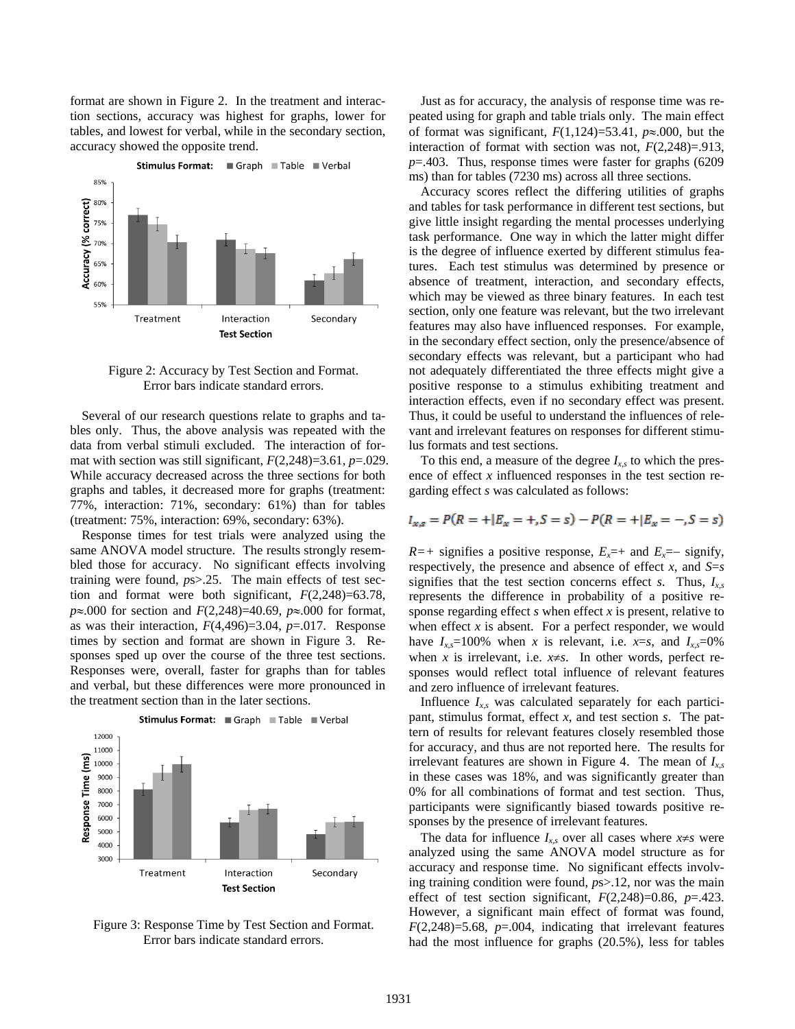format are shown in Figure 2. In the treatment and interaction sections, accuracy was highest for graphs, lower for tables, and lowest for verbal, while in the secondary section, accuracy showed the opposite trend.



Figure 2: Accuracy by Test Section and Format. Error bars indicate standard errors.

Several of our research questions relate to graphs and tables only. Thus, the above analysis was repeated with the data from verbal stimuli excluded. The interaction of format with section was still significant, *F*(2,248)=3.61, *p*=.029. While accuracy decreased across the three sections for both graphs and tables, it decreased more for graphs (treatment: 77%, interaction: 71%, secondary: 61%) than for tables (treatment: 75%, interaction: 69%, secondary: 63%).

Response times for test trials were analyzed using the same ANOVA model structure. The results strongly resembled those for accuracy. No significant effects involving training were found, *p*s>.25. The main effects of test section and format were both significant, *F*(2,248)=63.78, *p* $\approx$ .000 for section and *F*(2,248)=40.69, *p* $\approx$ .000 for format, as was their interaction, *F*(4,496)=3.04, *p*=.017. Response times by section and format are shown in Figure 3. Responses sped up over the course of the three test sections. Responses were, overall, faster for graphs than for tables and verbal, but these differences were more pronounced in the treatment section than in the later sections.



Figure 3: Response Time by Test Section and Format. Error bars indicate standard errors.

Just as for accuracy, the analysis of response time was repeated using for graph and table trials only. The main effect of format was significant,  $F(1,124)=53.41$ ,  $p\approx 0.00$ , but the interaction of format with section was not, *F*(2,248)=.913, *p*=.403. Thus, response times were faster for graphs (6209 ms) than for tables (7230 ms) across all three sections.

Accuracy scores reflect the differing utilities of graphs and tables for task performance in different test sections, but give little insight regarding the mental processes underlying task performance. One way in which the latter might differ is the degree of influence exerted by different stimulus features. Each test stimulus was determined by presence or absence of treatment, interaction, and secondary effects, which may be viewed as three binary features. In each test section, only one feature was relevant, but the two irrelevant features may also have influenced responses. For example, in the secondary effect section, only the presence/absence of secondary effects was relevant, but a participant who had not adequately differentiated the three effects might give a positive response to a stimulus exhibiting treatment and interaction effects, even if no secondary effect was present. Thus, it could be useful to understand the influences of relevant and irrelevant features on responses for different stimulus formats and test sections.

To this end, a measure of the degree *Ix,s* to which the presence of effect *x* influenced responses in the test section regarding effect *s* was calculated as follows:

$$
I_{x,s} = P(R = + | E_x = +, S = s) - P(R = + | E_x = -, S = s)
$$

 $R=+$  signifies a positive response,  $E<sub>x</sub>=+$  and  $E<sub>x</sub>=-$  signify, respectively, the presence and absence of effect *x*, and *S*=*s* signifies that the test section concerns effect *s*. Thus,  $I_{xs}$ represents the difference in probability of a positive response regarding effect *s* when effect *x* is present, relative to when effect  $x$  is absent. For a perfect responder, we would have  $I_{x,s}=100\%$  when *x* is relevant, i.e. *x*=*s*, and  $I_{x,s}=0\%$ when *x* is irrelevant, i.e.  $x \neq s$ . In other words, perfect responses would reflect total influence of relevant features and zero influence of irrelevant features.

Influence  $I_{x}$  was calculated separately for each participant, stimulus format, effect *x*, and test section *s*. The pattern of results for relevant features closely resembled those for accuracy, and thus are not reported here. The results for irrelevant features are shown in Figure 4. The mean of *Ix,s* in these cases was 18%, and was significantly greater than 0% for all combinations of format and test section. Thus, participants were significantly biased towards positive responses by the presence of irrelevant features.

The data for influence  $I_{x,s}$  over all cases where  $x \neq s$  were analyzed using the same ANOVA model structure as for accuracy and response time. No significant effects involving training condition were found, *p*s>.12, nor was the main effect of test section significant, *F*(2,248)=0.86, *p*=.423. However, a significant main effect of format was found, *F*(2,248)=5.68, *p*=.004, indicating that irrelevant features had the most influence for graphs (20.5%), less for tables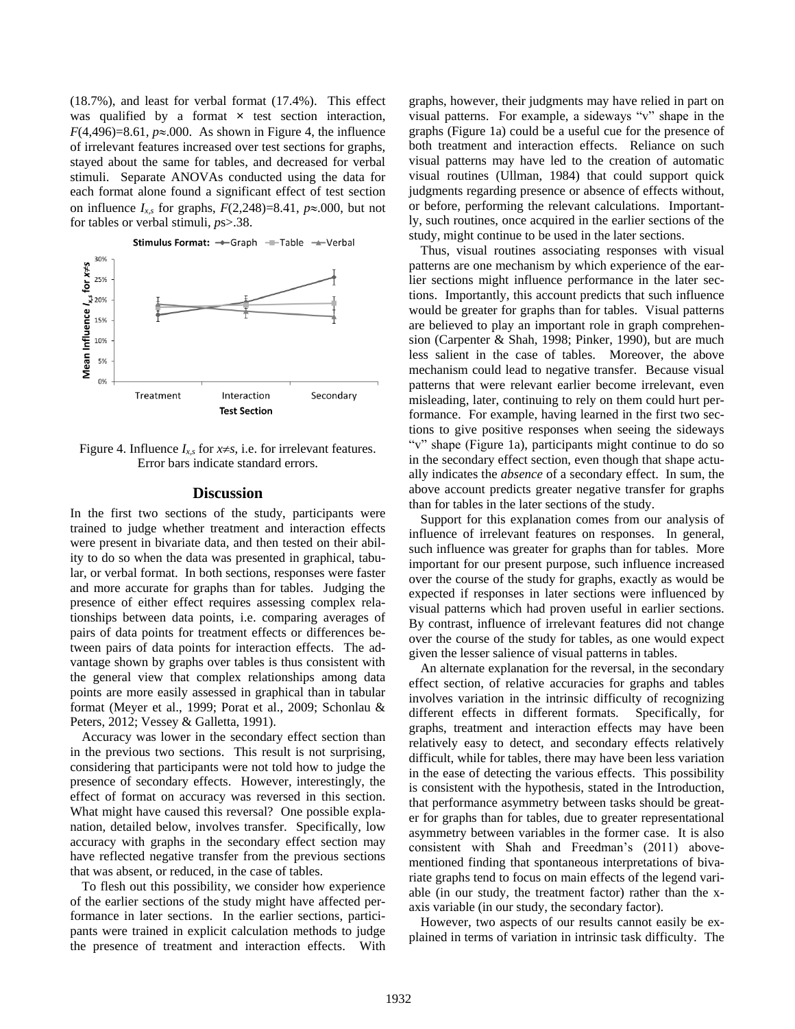(18.7%), and least for verbal format (17.4%). This effect was qualified by a format  $\times$  test section interaction,  $F(4,496)=8.61$ ,  $p\approx 0.000$ . As shown in Figure 4, the influence of irrelevant features increased over test sections for graphs, stayed about the same for tables, and decreased for verbal stimuli. Separate ANOVAs conducted using the data for each format alone found a significant effect of test section on influence  $I_{x,s}$  for graphs,  $F(2,248)=8.41$ ,  $p\approx 0.000$ , but not for tables or verbal stimuli, *p*s>.38.



Figure 4. Influence  $I_{x,s}$  for  $x \neq s$ , i.e. for irrelevant features. Error bars indicate standard errors.

## **Discussion**

In the first two sections of the study, participants were trained to judge whether treatment and interaction effects were present in bivariate data, and then tested on their ability to do so when the data was presented in graphical, tabular, or verbal format. In both sections, responses were faster and more accurate for graphs than for tables. Judging the presence of either effect requires assessing complex relationships between data points, i.e. comparing averages of pairs of data points for treatment effects or differences between pairs of data points for interaction effects. The advantage shown by graphs over tables is thus consistent with the general view that complex relationships among data points are more easily assessed in graphical than in tabular format (Meyer et al., 1999; Porat et al., 2009; Schonlau & Peters, 2012; Vessey & Galletta, 1991).

Accuracy was lower in the secondary effect section than in the previous two sections. This result is not surprising, considering that participants were not told how to judge the presence of secondary effects. However, interestingly, the effect of format on accuracy was reversed in this section. What might have caused this reversal? One possible explanation, detailed below, involves transfer. Specifically, low accuracy with graphs in the secondary effect section may have reflected negative transfer from the previous sections that was absent, or reduced, in the case of tables.

To flesh out this possibility, we consider how experience of the earlier sections of the study might have affected performance in later sections. In the earlier sections, participants were trained in explicit calculation methods to judge the presence of treatment and interaction effects. With graphs, however, their judgments may have relied in part on visual patterns. For example, a sideways "v" shape in the graphs (Figure 1a) could be a useful cue for the presence of both treatment and interaction effects. Reliance on such visual patterns may have led to the creation of automatic visual routines (Ullman, 1984) that could support quick judgments regarding presence or absence of effects without, or before, performing the relevant calculations. Importantly, such routines, once acquired in the earlier sections of the study, might continue to be used in the later sections.

Thus, visual routines associating responses with visual patterns are one mechanism by which experience of the earlier sections might influence performance in the later sections. Importantly, this account predicts that such influence would be greater for graphs than for tables. Visual patterns are believed to play an important role in graph comprehension (Carpenter & Shah, 1998; Pinker, 1990), but are much less salient in the case of tables. Moreover, the above mechanism could lead to negative transfer. Because visual patterns that were relevant earlier become irrelevant, even misleading, later, continuing to rely on them could hurt performance. For example, having learned in the first two sections to give positive responses when seeing the sideways "v" shape (Figure 1a), participants might continue to do so in the secondary effect section, even though that shape actually indicates the *absence* of a secondary effect. In sum, the above account predicts greater negative transfer for graphs than for tables in the later sections of the study.

Support for this explanation comes from our analysis of influence of irrelevant features on responses. In general, such influence was greater for graphs than for tables. More important for our present purpose, such influence increased over the course of the study for graphs, exactly as would be expected if responses in later sections were influenced by visual patterns which had proven useful in earlier sections. By contrast, influence of irrelevant features did not change over the course of the study for tables, as one would expect given the lesser salience of visual patterns in tables.

An alternate explanation for the reversal, in the secondary effect section, of relative accuracies for graphs and tables involves variation in the intrinsic difficulty of recognizing different effects in different formats. Specifically, for graphs, treatment and interaction effects may have been relatively easy to detect, and secondary effects relatively difficult, while for tables, there may have been less variation in the ease of detecting the various effects. This possibility is consistent with the hypothesis, stated in the Introduction, that performance asymmetry between tasks should be greater for graphs than for tables, due to greater representational asymmetry between variables in the former case. It is also consistent with Shah and Freedman's (2011) abovementioned finding that spontaneous interpretations of bivariate graphs tend to focus on main effects of the legend variable (in our study, the treatment factor) rather than the xaxis variable (in our study, the secondary factor).

However, two aspects of our results cannot easily be explained in terms of variation in intrinsic task difficulty. The